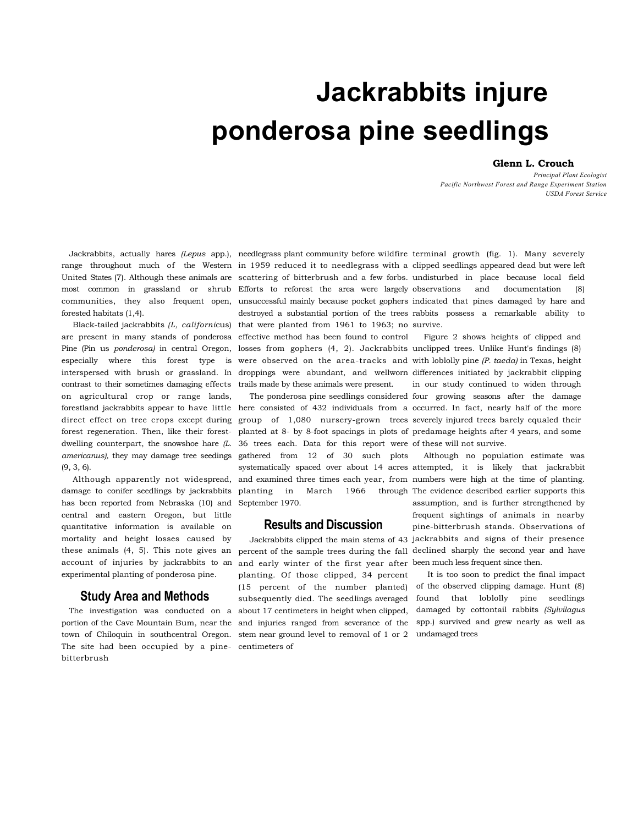# **Jackrabbits injure ponderosa pine seedlings**

#### **Glenn L. Crouch**

*Principal Plant Ecologist Pacific Northwest Forest and Range Experiment Station USDA Forest Service* 

forested habitats (1,4).

contrast to their sometimes damaging effects trails made by these animals were present. on agricultural crop or range lands, dwelling counterpart, the snowshoe hare  $/L$ . 36 trees each. Data for this report were of these will not survive. *americanus),* they may damage tree seedings gathered from 12 of 30 such plots (9, 3, 6).

Although apparently not widespread, damage to conifer seedlings by jackrabbits has been reported from Nebraska (10) and central and eastern Oregon, but little quantitative information is available on mortality and height losses caused by these animals (4, 5). This note gives an account of injuries by jackrabbits to an experimental planting of ponderosa pine.

#### **Study Area and Methods**

The site had been occupied by a pine-centimeters of bitterbrush

most common in grassland or shrub Efforts to reforest the area were largely Black-tailed jackrabbits (L, californicus) that were planted from 1961 to 1963; no survive. are present in many stands of ponderosa effective method has been found to control

September 1970.

### **Results and Discussion**

The investigation was conducted on a about 17 centimeters in height when clipped, portion of the Cave Mountain Bum, near the and injuries ranged from severance of the spp.) survived and grew nearly as well as town of Chiloquin in southcentral Oregon. stem near ground level to removal of 1 or 2 undamaged trees and early winter of the first year after been much less frequent since then. planting. Of those clipped, 34 percent (15 percent of the number planted) subsequently died. The seedlings averaged

Jackrabbits, actually hares *(Lepus* app.), needlegrass plant community before wildfire terminal growth (fig. 1). Many severely range throughout much of the Western in 1959 reduced it to needlegrass with a clipped seedlings appeared dead but were left United States (7). Although these animals are scattering of bitterbrush and a few forbs. undisturbed in place because local field communities, they also frequent open, unsuccessful mainly because pocket gophers indicated that pines damaged by hare and destroyed a substantial portion of the trees rabbits possess a remarkable ability to and documentation (8)

Pine (Pin us *ponderosa)* in central Oregon, losses from gophers (4, 2). Jackrabbits unclipped trees. Unlike Hunt's findings (8) especially where this forest type is were observed on the area-tracks and with loblolly pine *(P. taeda)* in Texas, height interspersed with brush or grassland. In droppings were abundant, and wellworn differences initiated by jackrabbit clipping forestland jackrabbits appear to have little here consisted of 432 individuals from a occurred. In fact, nearly half of the more direct effect on tree crops except during group of 1,080 nursery-grown trees severely injured trees barely equaled their forest regeneration. Then, like their forest-planted at 8- by 8-foot spacings in plots of predamage heights after 4 years, and some The ponderosa pine seedlings considered four growing seasons after the damage Figure 2 shows heights of clipped and in our study continued to widen through

> systematically spaced over about 14 acres attempted, it is likely that jackrabbit and examined three times each year, from numbers were high at the time of planting. planting in March 1966 through The evidence described earlier supports this Jackrabbits clipped the main stems of 43 jackrabbits and signs of their presence percent of the sample trees during the fall declined sharply the second year and have Although no population estimate was assumption, and is further strengthened by frequent sightings of animals in nearby pine-bitterbrush stands. Observations of

> > It is too soon to predict the final impact of the observed clipping damage. Hunt (8) found that loblolly pine seedlings damaged by cottontail rabbits *(Sylvilagus*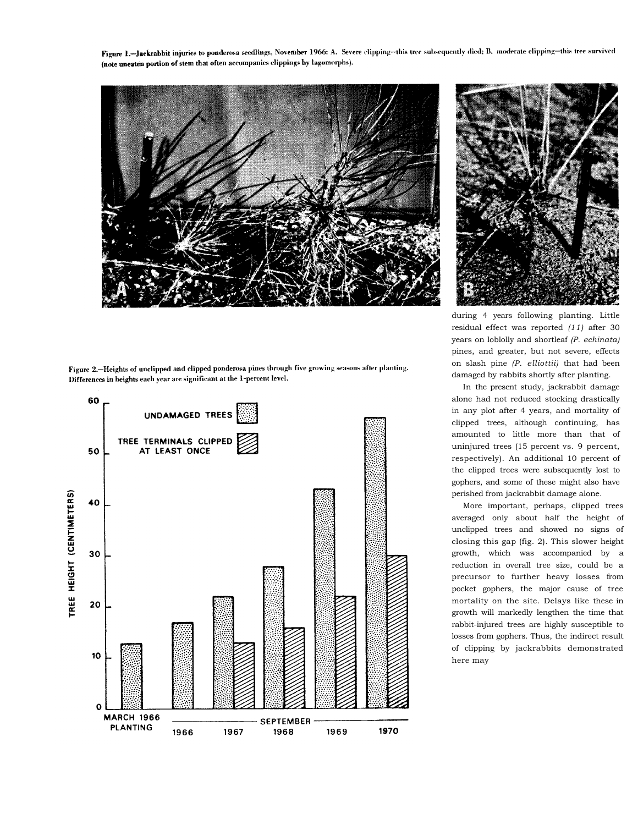Figure 1.-Jackrabbit injuries to ponderosa seedlings, November 1966: A. Severe clipping-this tree subsequently died; B. moderate clipping-this tree survived (note uneaten portion of stem that often accompanies clippings by lagomorphs).



Figure 2. Heights of unclipped and clipped ponderosa pines through five growing seasons after planting. Differences in heights each year are significant at the 1-percent level.





during 4 years following planting. Little residual effect was reported *(11)* after 30 years on loblolly and shortleaf *(P. echinata)*  pines, and greater, but not severe, effects on slash pine *(P. elliottii)* that had been damaged by rabbits shortly after planting.

In the present study, jackrabbit damage alone had not reduced stocking drastically in any plot after 4 years, and mortality of clipped trees, although continuing, has amounted to little more than that of uninjured trees (15 percent vs. 9 percent, respectively). An additional 10 percent of the clipped trees were subsequently lost to gophers, and some of these might also have perished from jackrabbit damage alone.

More important, perhaps, clipped trees averaged only about half the height of unclipped trees and showed no signs of closing this gap (fig. 2). This slower height growth, which was accompanied by a reduction in overall tree size, could be a precursor to further heavy losses from pocket gophers, the major cause of tree mortality on the site. Delays like these in growth will markedly lengthen the time that rabbit-injured trees are highly susceptible to losses from gophers. Thus, the indirect result of clipping by jackrabbits demonstrated here may